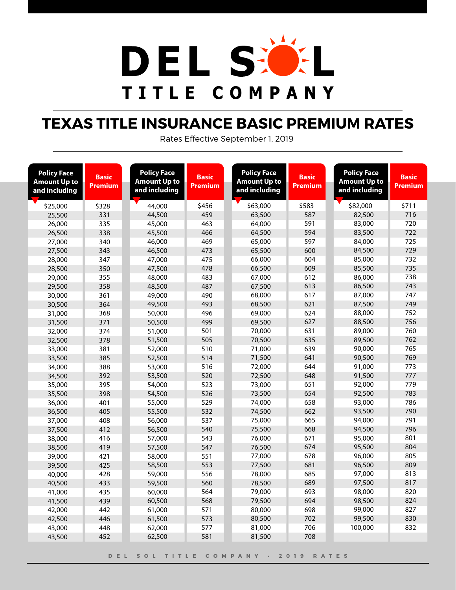

# **TEXAS TITLE INSURANCE BASIC PREMIUM RATES**

Rates Effective September 1, 2019

| <b>Policy Face</b><br><b>Amount Up to</b><br>and including | <b>Basic</b><br><b>Premium</b> | <b>Policy Face</b><br><b>Amount Up to</b><br>and including | <b>Basic</b><br><b>Premium</b> | <b>Policy Face</b><br><b>Amount Up to</b><br>and including | <b>Basic</b><br><b>Premium</b> | <b>Policy Face</b><br><b>Amount Up to</b><br>and including | <b>Basic</b><br><b>Premium</b> |
|------------------------------------------------------------|--------------------------------|------------------------------------------------------------|--------------------------------|------------------------------------------------------------|--------------------------------|------------------------------------------------------------|--------------------------------|
| \$25,000                                                   | \$328                          | 44,000                                                     | \$456                          | \$63,000                                                   | \$583                          | \$82,000                                                   | \$711                          |
| 25,500                                                     | 331                            | 44,500                                                     | 459                            | 63,500                                                     | 587                            | 82,500                                                     | 716                            |
| 26,000                                                     | 335                            | 45,000                                                     | 463                            | 64,000                                                     | 591                            | 83,000                                                     | 720                            |
| 26,500                                                     | 338                            | 45,500                                                     | 466                            | 64,500                                                     | 594                            | 83,500                                                     | 722                            |
| 27,000                                                     | 340                            | 46,000                                                     | 469                            | 65,000                                                     | 597                            | 84,000                                                     | 725                            |
| 27,500                                                     | 343                            | 46,500                                                     | 473                            | 65,500                                                     | 600                            | 84,500                                                     | 729                            |
| 28,000                                                     | 347                            | 47,000                                                     | 475                            | 66,000                                                     | 604                            | 85,000                                                     | 732                            |
| 28,500                                                     | 350                            | 47,500                                                     | 478                            | 66,500                                                     | 609                            | 85,500                                                     | 735                            |
| 29,000                                                     | 355                            | 48,000                                                     | 483                            | 67,000                                                     | 612                            | 86,000                                                     | 738                            |
| 29,500                                                     | 358                            | 48,500                                                     | 487                            | 67,500                                                     | 613                            | 86,500                                                     | 743                            |
| 30,000                                                     | 361                            | 49,000                                                     | 490                            | 68,000                                                     | 617                            | 87,000                                                     | 747                            |
| 30,500                                                     | 364                            | 49,500                                                     | 493                            | 68,500                                                     | 621                            | 87,500                                                     | 749                            |
| 31,000                                                     | 368                            | 50,000                                                     | 496                            | 69,000                                                     | 624                            | 88,000                                                     | 752                            |
| 31,500                                                     | 371                            | 50,500                                                     | 499                            | 69,500                                                     | 627                            | 88,500                                                     | 756                            |
| 32,000                                                     | 374                            | 51,000                                                     | 501                            | 70,000                                                     | 631                            | 89,000                                                     | 760                            |
| 32,500                                                     | 378                            | 51,500                                                     | 505                            | 70,500                                                     | 635                            | 89,500                                                     | 762                            |
| 33,000                                                     | 381                            | 52,000                                                     | 510                            | 71,000                                                     | 639                            | 90,000                                                     | 765                            |
| 33,500                                                     | 385                            | 52,500                                                     | 514                            | 71,500                                                     | 641                            | 90,500                                                     | 769                            |
| 34,000                                                     | 388                            | 53,000                                                     | 516                            | 72,000                                                     | 644                            | 91,000                                                     | 773                            |
| 34,500                                                     | 392                            | 53,500                                                     | 520                            | 72,500                                                     | 648                            | 91,500                                                     | 777                            |
| 35,000                                                     | 395                            | 54,000                                                     | 523                            | 73,000                                                     | 651                            | 92,000                                                     | 779                            |
| 35,500                                                     | 398                            | 54,500                                                     | 526                            | 73,500                                                     | 654                            | 92,500                                                     | 783                            |
| 36,000                                                     | 401                            | 55,000                                                     | 529                            | 74,000                                                     | 658                            | 93,000                                                     | 786                            |
| 36,500                                                     | 405                            | 55,500                                                     | 532                            | 74,500                                                     | 662                            | 93,500                                                     | 790                            |
| 37,000                                                     | 408                            | 56,000                                                     | 537                            | 75,000                                                     | 665                            | 94,000                                                     | 791                            |
| 37,500                                                     | 412                            | 56,500                                                     | 540                            | 75,500                                                     | 668                            | 94,500                                                     | 796                            |
| 38,000                                                     | 416                            | 57,000                                                     | 543                            | 76,000                                                     | 671                            | 95,000                                                     | 801                            |
| 38,500                                                     | 419                            | 57,500                                                     | 547                            | 76,500                                                     | 674                            | 95,500                                                     | 804                            |
| 39,000                                                     | 421                            | 58,000                                                     | 551                            | 77,000                                                     | 678                            | 96,000                                                     | 805                            |
| 39,500                                                     | 425                            | 58,500                                                     | 553                            | 77,500                                                     | 681                            | 96,500                                                     | 809                            |
| 40,000                                                     | 428                            | 59,000                                                     | 556                            | 78,000                                                     | 685                            | 97,000                                                     | 813                            |
| 40,500                                                     | 433                            | 59,500                                                     | 560                            | 78,500                                                     | 689                            | 97,500                                                     | 817                            |
| 41,000                                                     | 435                            | 60,000                                                     | 564                            | 79,000                                                     | 693                            | 98,000                                                     | 820                            |
| 41,500                                                     | 439                            | 60,500                                                     | 568                            | 79,500                                                     | 694                            | 98,500                                                     | 824                            |
| 42,000                                                     | 442                            | 61,000                                                     | 571                            | 80,000                                                     | 698                            | 99,000                                                     | 827                            |
| 42,500                                                     | 446                            | 61,500                                                     | 573                            | 80,500                                                     | 702                            | 99,500                                                     | 830                            |
| 43,000                                                     | 448                            | 62,000                                                     | 577                            | 81,000                                                     | 706                            | 100,000                                                    | 832                            |
| 43,500                                                     | 452                            | 62,500                                                     | 581                            | 81,500                                                     | 708                            |                                                            |                                |